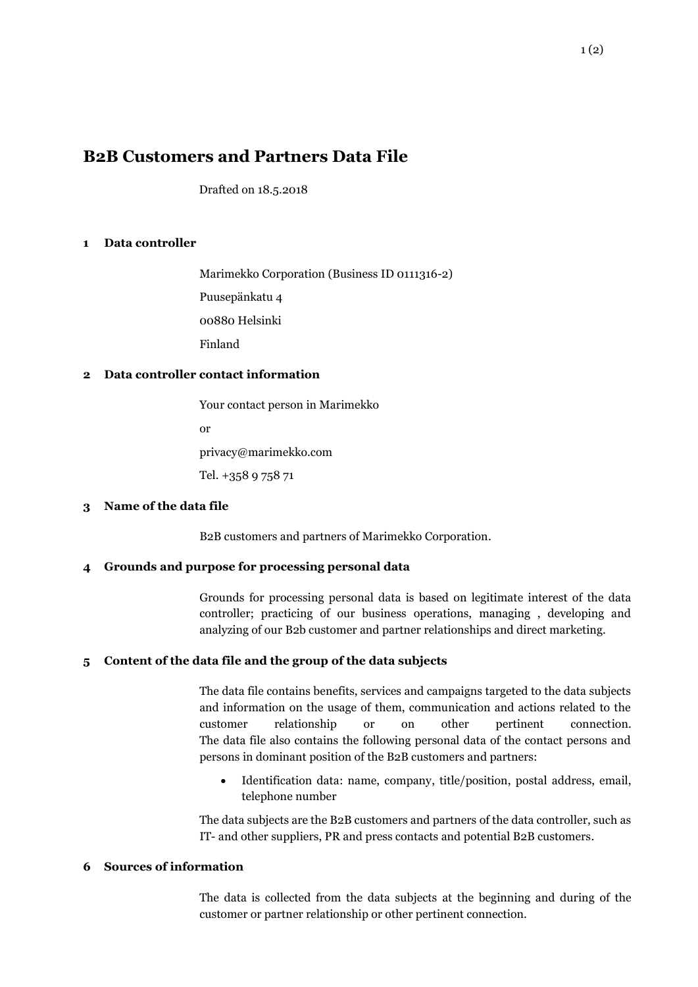# **B2B Customers and Partners Data File**

Drafted on 18.5.2018

## **1 Data controller**

Marimekko Corporation (Business ID 0111316-2) Puusepänkatu 4 00880 Helsinki Finland

## **2 Data controller contact information**

Your contact person in Marimekko

or

privacy@marimekko.com

Tel. +358 9 758 71

## **3 Name of the data file**

B2B customers and partners of Marimekko Corporation.

## **4 Grounds and purpose for processing personal data**

Grounds for processing personal data is based on legitimate interest of the data controller; practicing of our business operations, managing , developing and analyzing of our B2b customer and partner relationships and direct marketing.

## **5 Content of the data file and the group of the data subjects**

The data file contains benefits, services and campaigns targeted to the data subjects and information on the usage of them, communication and actions related to the customer relationship or on other pertinent connection. The data file also contains the following personal data of the contact persons and persons in dominant position of the B2B customers and partners:

 Identification data: name, company, title/position, postal address, email, telephone number

The data subjects are the B2B customers and partners of the data controller, such as IT- and other suppliers, PR and press contacts and potential B2B customers.

# **6 Sources of information**

The data is collected from the data subjects at the beginning and during of the customer or partner relationship or other pertinent connection.